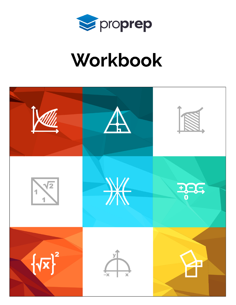

# Workbook

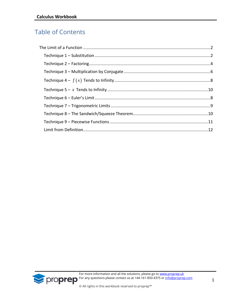## Table of Contents

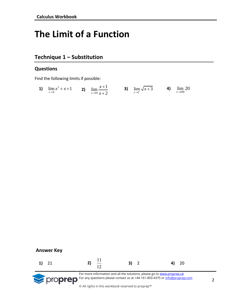## <span id="page-2-0"></span>**The Limit of a Function**

#### <span id="page-2-1"></span>**Technique 1 – Substitution**

#### **Questions**

Find the following limits if possible:

**1)** 
$$
\lim_{x \to 4} x^2 + x + 1
$$
 **2)**  $\lim_{x \to 10} \frac{x + 1}{x + 2}$  **3)**  $\lim_{x \to 1^+} \sqrt{x + 3}$  **4)**  $\lim_{x \to 100} 20$ 



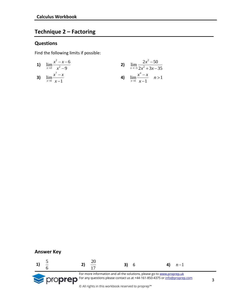## <span id="page-3-0"></span>**Technique 2 – Factoring**

#### **Questions**

Find the following limits if possible:

1) 
$$
\lim_{x \to 3} \frac{x^2 - x - 6}{x^2 - 9}
$$
  
3) 
$$
\lim_{x \to 1} \frac{x^7 - x}{x - 1}
$$

2) 
$$
\lim_{x \to 5} \frac{2x^2 - 50}{2x^2 + 3x - 35}
$$
  
4) 
$$
\lim_{x \to 1} \frac{x^n - x}{x - 1}
$$
  $n > 1$ 

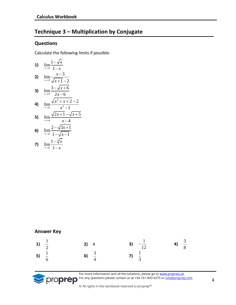## <span id="page-4-0"></span>**Technique 3 – Multiplication by Conjugate**

#### **Questions**

Calculate the following limits if possible:

1) 
$$
\lim_{x \to 1} \frac{1 - \sqrt{x}}{1 - x}
$$
  
\n2) 
$$
\lim_{x \to 3} \frac{x - 3}{\sqrt{x + 1 - 2}}
$$
  
\n3) 
$$
\lim_{x \to 3} \frac{3 - \sqrt{x + 6}}{2x - 6}
$$
  
\n4) 
$$
\lim_{x \to 1} \frac{\sqrt{x^2 + x + 2} - 2}{x^2 - 1}
$$
  
\n5) 
$$
\lim_{x \to 4} \frac{\sqrt{2x + 1} - \sqrt{x + 5}}{x - 4}
$$
  
\n6) 
$$
\lim_{x \to 1} \frac{2 - \sqrt{3x + 1}}{1 - \sqrt{x - 1}}
$$

**7)** 
$$
\lim_{x \to 1} \frac{1 - \sqrt[3]{x}}{1 - x}
$$

#### **Answer Key**

| 1) $\frac{1}{2}$ | 2) 4             | 3) $-\frac{1}{12}$ | 4) $\frac{3}{8}$ |  |
|------------------|------------------|--------------------|------------------|--|
| 5) $\frac{1}{6}$ | 6) $\frac{3}{4}$ | 7) $\frac{1}{3}$   |                  |  |

For more information and all the solutions, please go to [www.proprep.uk](http://www.proprep.uk/) **Solutions** COMPTED For any questions please contact us at +44-161-850-4375 or [info@proprep.com](mailto:info@proprep.com)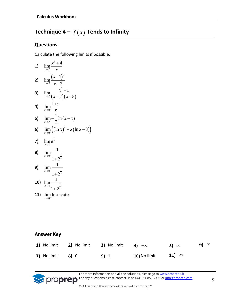## <span id="page-5-0"></span>Technique 4 –  $f(x)$  Tends to Infinity

#### **Questions**

Calculate the following limits if possible:

1) 
$$
\lim_{x\to0} \frac{x^2 + 4}{x}
$$
  
\n2) 
$$
\lim_{x\to2} \frac{(x-1)^2}{x-2}
$$
  
\n3) 
$$
\lim_{x\to2} \frac{x^2 - 1}{(x-2)(x-5)}
$$
  
\n4) 
$$
\lim_{x\to0^+} \frac{\ln x}{x}
$$
  
\n5) 
$$
\lim_{x\to2} -\frac{1}{2} \ln(2-x)
$$
  
\n6) 
$$
\lim_{x\to0^+} ((\ln x)^2 + x(\ln x - 3))
$$
  
\n7) 
$$
\lim_{x\to0} e^{\frac{1}{x}}
$$
  
\n8) 
$$
\lim_{x\to0} \frac{1}{1+2^{\frac{1}{x}}}
$$
  
\n9) 
$$
\lim_{x\to0} \frac{1}{1+2^{\frac{1}{x}}}
$$
  
\n10) 
$$
\lim_{x\to0} \frac{1}{1+2^{\frac{1}{x}}}
$$

**11)**  $\lim_{x \to \infty} \ln x \cdot \cot x$  $x \rightarrow 0^+$ 

#### **Answer Key**

| 1) No limit | 2) No limit | 3) No limit | $4) -\infty$ | 5) $\infty$   | 6) $\infty$ |
|-------------|-------------|-------------|--------------|---------------|-------------|
| 7) No limit | 8) 0        | 9) 1        | 10) No limit | 11) $-\infty$ |             |

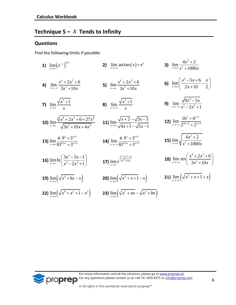## <span id="page-6-0"></span>**Technique 5 –** *x* **Tends to Infinity**

#### **Questions**

Find the following limits if possible:

1) 
$$
\lim_{x \to \infty} (e^{-x})^{\ln x}
$$
  
\n2)  $\lim_{x \to \infty} \arctan(x) + e^{x}$   
\n3)  $\lim_{x \to \infty} \frac{4x^2 + 2}{x^2 + 1000x}$   
\n4)  $\lim_{x \to \infty} \frac{x^4 + 2x^2 + 6}{3x^2 + 10x}$   
\n5)  $\lim_{x \to \infty} \frac{x^4 + 2x^2 + 6}{3x^3 + 10x}$   
\n6)  $\lim_{x \to \infty} \left( \frac{x^2 - 5x + 6}{2x + 10} - \frac{x}{2} \right)$   
\n7)  $\lim_{x \to \infty} \frac{\sqrt{x^2 + 1}}{x}$   
\n8)  $\lim_{x \to \infty} \frac{\sqrt{x^2 + 1}}{x}$   
\n9)  $\lim_{x \to \infty} \frac{\sqrt{9x^6 - 5x}}{x^3 - 2x^2 + 1}$   
\n10)  $\lim_{x \to \infty} \frac{3\sqrt{x^4 + 2x^2 + 6 + 27x^6}}{\sqrt{3x^3 + 10x + 4x^4}}$   
\n11)  $\lim_{x \to \infty} \frac{\sqrt{x + 2} - \sqrt{3x - 3}}{\sqrt{4x + 1} - \sqrt{5x - 1}}$   
\n12)  $\lim_{x \to \infty} \frac{16^x + 4^{x+1}}{2^{4x + 2} + 2^{x+3}}$   
\n13)  $\lim_{x \to \infty} \frac{4 \cdot 9^x + 3^{x+1}}{81^{0.5x} + 3^{x+3}}$   
\n14)  $\lim_{x \to \infty} \frac{4 \cdot 9^x + 3^{x+1}}{4 \cdot 9^x + 3^{x+3}}$   
\n15)  $\lim_{x \to \infty} \sqrt{\frac{4x^2 + 2}{x^2 + 1000x}}$   
\n16)  $\lim_{x \to \infty} \left[ \frac{3x^3 - 5x - 1}{x^3 - 2x^2 + 1} \right]$   
\n17)  $\lim_{x \to \infty} e^{\frac{x^4 + 2x^2 +$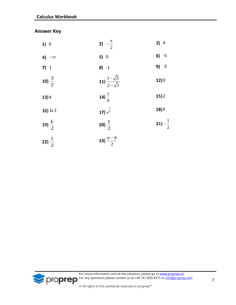#### **Answer Key**

| 1) 0              | 2) $-\frac{\pi}{2}$                 | 3) 4               |
|-------------------|-------------------------------------|--------------------|
| 4) $-\infty$      | 5)0                                 | $6) -5$            |
| 7) 1              | $8) -1$                             | $9) -3$            |
| 10) $\frac{3}{2}$ | 11) $\frac{1-\sqrt{3}}{2-\sqrt{3}}$ | 12)0               |
| 13)4              | 14) $\frac{1}{9}$                   | 15)2               |
| 16) $ln 3$        | 17) $e^{\frac{1}{3}}$               | 18)0               |
| 19) $\frac{k}{2}$ | 20) $\frac{1}{2}$                   | 21) $-\frac{1}{2}$ |
| 22) $\frac{1}{2}$ | 23) $\frac{a-b}{2}$                 |                    |



For more information and all the solutions, please go to [www.proprep.uk](http://www.proprep.uk/) For any questions please contact us at +44-161-850-4375 or [info@proprep.com](mailto:info@proprep.com)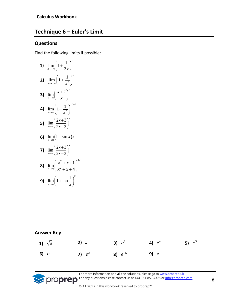## <span id="page-8-0"></span>**Technique 6 – Euler's Limit**

#### **Questions**

Find the following limits if possible:

1) 
$$
\lim_{x \to -\infty} \left( 1 + \frac{1}{2x} \right)^x
$$
  
\n2)  $\lim_{x \to -\infty} \left( 1 + \frac{1}{x^2} \right)^x$   
\n3)  $\lim_{x \to \infty} \left( \frac{x+2}{x} \right)^x$   
\n4)  $\lim_{x \to \infty} \left( 1 - \frac{1}{x^2} \right)^{x^2-1}$   
\n5)  $\lim_{x \to \infty} \left( \frac{2x+3}{2x-3} \right)^x$   
\n6)  $\lim_{x \to \infty} (1 + \sin x)^{\frac{1}{x}}$   
\n7)  $\lim_{x \to \infty} \left( \frac{2x+3}{2x-3} \right)^x$   
\n8)  $\lim_{x \to \infty} \left( \frac{x^2 + x + 1}{x^2 + x + 4} \right)^{4x^2}$   
\n9)  $\lim_{x \to \infty} \left( 1 + \tan \frac{1}{x} \right)^x$ 

#### **Answer Key**

| 1) $\sqrt{e}$ | 2) 1     | <b>3)</b> $e^2$     | <b>4)</b> $e^{-1}$ | 5) $e^3$ |
|---------------|----------|---------------------|--------------------|----------|
| 6) e          | 7) $e^3$ | <b>8)</b> $e^{-12}$ | 9) $e$             |          |



For more information and all the solutions, please go to [www.proprep.uk](http://www.proprep.uk/) **Solutions** COMPTED For any questions please contact us at +44-161-850-4375 or [info@proprep.com](mailto:info@proprep.com)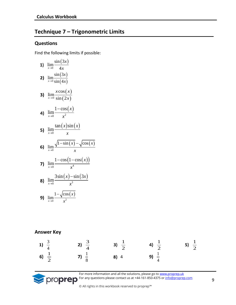## <span id="page-9-0"></span>**Technique 7 – Trigonometric Limits**

#### **Questions**

Find the following limits if possible:

1) 
$$
\lim_{x \to 0} \frac{\sin(3x)}{4x}
$$
  
\n2) 
$$
\lim_{x \to 0} \frac{\sin(3x)}{\sin(4x)}
$$
  
\n3) 
$$
\lim_{x \to 0} \frac{x \cos(x)}{\sin(2x)}
$$
  
\n4) 
$$
\lim_{x \to 0} \frac{1 - \cos(x)}{x^2}
$$
  
\n5) 
$$
\lim_{x \to 0} \frac{\tan(x) \sin(x)}{x}
$$
  
\n6) 
$$
\lim_{x \to 0} \frac{\sqrt{1 - \sin(x)} - \sqrt{\cos(x)}}{x}
$$
  
\n7) 
$$
\lim_{x \to 0} \frac{1 - \cos(1 - \cos(x))}{x^4}
$$
  
\n8) 
$$
\lim_{x \to 0} \frac{3 \sin(x) - \sin(3x)}{x^3}
$$
  
\n9) 
$$
\lim_{x \to 0} \frac{1 - \sqrt{\cos(x)}}{x^2}
$$

#### **Answer Key**

| 1) $\frac{3}{4}$ | 2) $\frac{3}{4}$ | 3) $\frac{1}{2}$ | 4) $\frac{1}{2}$ | 5) $\frac{1}{2}$ |
|------------------|------------------|------------------|------------------|------------------|
| 6) $\frac{1}{2}$ | 7) $\frac{1}{8}$ | 8)4              | 9) $\frac{1}{4}$ |                  |

For more information and all the solutions, please go to [www.proprep.uk](http://www.proprep.uk/) **Solutions** COMPTED For any questions please contact us at +44-161-850-4375 or [info@proprep.com](mailto:info@proprep.com)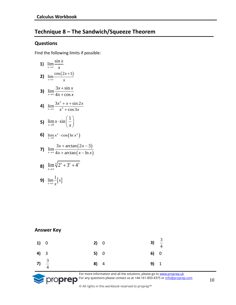## <span id="page-10-0"></span>**Technique 8 – The Sandwich/Squeeze Theorem**

#### **Questions**

Find the following limits if possible:

1) 
$$
\lim_{x \to \infty} \frac{\sin x}{x}
$$
  
\n2) 
$$
\lim_{x \to \infty} \frac{\cos(2x+1)}{x}
$$
  
\n3) 
$$
\lim_{x \to \infty} \frac{3x + \sin x}{4x + \cos x}
$$
  
\n4) 
$$
\lim_{x \to \infty} \frac{3x^2 + x + \sin 2x}{x^2 + \cos 3x}
$$
  
\n5) 
$$
\lim_{x \to 0} x \cdot \sin\left(\frac{1}{x}\right)
$$
  
\n6) 
$$
\lim_{x \to 0} x^2 \cdot \cos(\ln x^2)
$$
  
\n7) 
$$
\lim_{x \to \infty} \frac{3x + \arctan(2x-3)}{4x + \arctan(x - \ln x)}
$$
  
\n8) 
$$
\lim_{x \to \infty} \frac{x}{2^x + 3^x + 4^x}
$$

$$
9) \quad \lim_{x\to\infty}\frac{1}{x}[x]
$$

#### **Answer Key**

| 1) 0             | 2) 0 |      | 3) $\frac{3}{4}$ |
|------------------|------|------|------------------|
| 4) 3             | 5) 0 | 6) 0 |                  |
| 7) $\frac{3}{4}$ | 8) 4 | 9) 1 |                  |

For more information and all the solutions, please go to [www.proprep.uk](http://www.proprep.uk/) proprep For any questions please contact us at +44-161-850-4375 or [info@proprep.com](mailto:info@proprep.com)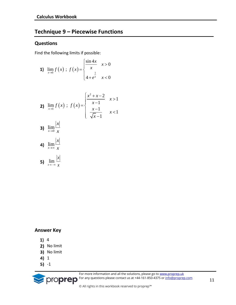## <span id="page-11-0"></span>**Technique 9 – Piecewise Functions**

#### **Questions**

Find the following limits if possible:

1) 
$$
\lim_{x \to 0} f(x) ; f(x) = \begin{cases} \frac{\sin 4x}{x} & x > 0 \\ 4 + e^{\frac{1}{x}} & x < 0 \end{cases}
$$

2) 
$$
\lim_{x \to 1} f(x) ; f(x) = \begin{cases} \frac{x^2 + x - 2}{x - 1} & x > 1 \\ \frac{x - 1}{\sqrt{x - 1}} & x < 1 \end{cases}
$$

$$
3) \ \ \lim_{x\to 0}\frac{f^x}{x}
$$

4) 
$$
\lim_{x \to \infty} \frac{|x|}{x}
$$
  
5) 
$$
\lim_{x \to -\infty} \frac{|x|}{x}
$$

#### **Answer Key**

- 1)  $4$
- 2) No limit
- 3) No limit
- 4)  $1$
- $5) -1$

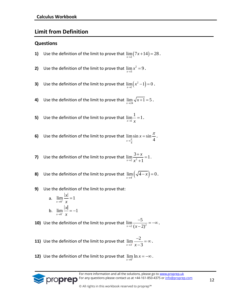## <span id="page-12-0"></span>**Limit from Definition**

#### **Questions**

- **1)** Use the definition of the limit to prove that  $\lim_{x\to 2} (7x+14) = 28$ .
- **2)** Use the definition of the limit to prove that  $\lim x^2$  $\lim_{x\to 3} x^2 = 9$ .
- **3)** Use the definition of the limit to prove that  $\lim_{x \to 0} (x^2 1)$  $\lim_{x\to 1} (x^2 - 1) = 0$ .
- **4)** Use the definition of the limit to prove that  $\lim_{x\to 24} \sqrt{x+1} = 5$ .
- **5)** Use the definition of the limit to prove that  $\lim_{x\to 1}$  $\lim_{n \to \infty} \frac{1}{n} = 1$  $lim_{x\to 1}$   $x$  $= 1$ .

**6)** Use the definition of the limit to prove that  $\lim_{x \to \infty} \sin x = \sin x$ 4  $\lim_{x\to\frac{\pi}{2}}$  4  $\lim_{\pi} \sin x$ π  $\lim_{x \to \frac{\pi}{2}} \sin x = \sin \frac{\pi}{4}.$ 

- **7)** Use the definition of the limit to prove that  $\lim_{x\to 2} \frac{9}{x^2}$  $\lim_{x \to 0} \frac{3+x}{2} = 1$  $\lim_{x\to 2} x^2 + 1$ *x*  $\overline{\rightarrow}$ <sup>2</sup>  $\overline{x}$  $\frac{+x}{\cdot}$  = + .
- **8)** Use the definition of the limit to prove that  $\lim_{x\to 4} \left(\sqrt{4-x}\right) = 0$ .
- **9)** Use the definition of the limit to prove that:

a. 
$$
\lim_{x \to 0^+} \frac{|x|}{x} = 1
$$
  
b. 
$$
\lim_{x \to 0^-} \frac{|x|}{x} = -1
$$

**10)** Use the definition of the limit to prove that  $\lim_{x\to 2} \frac{1}{(x-2)^2}$  $\lim_{x\to 2} \frac{-5}{(x-2)}$  $\frac{-5}{\sqrt{2}} = -\infty$  $\frac{-3}{-2)^2} = -\infty$ .

- **11)** Use the definition of the limit to prove that  $\lim_{x\to 3}$  $\lim \frac{-2}{2}$  $\lim_{x\to 3^{-}}$   $x-3$  $\frac{-2}{2} = \infty$ − .
- **12)** Use the definition of the limit to prove that  $\lim_{x\to 0^+} \ln x = -\infty$ . 0 *x*